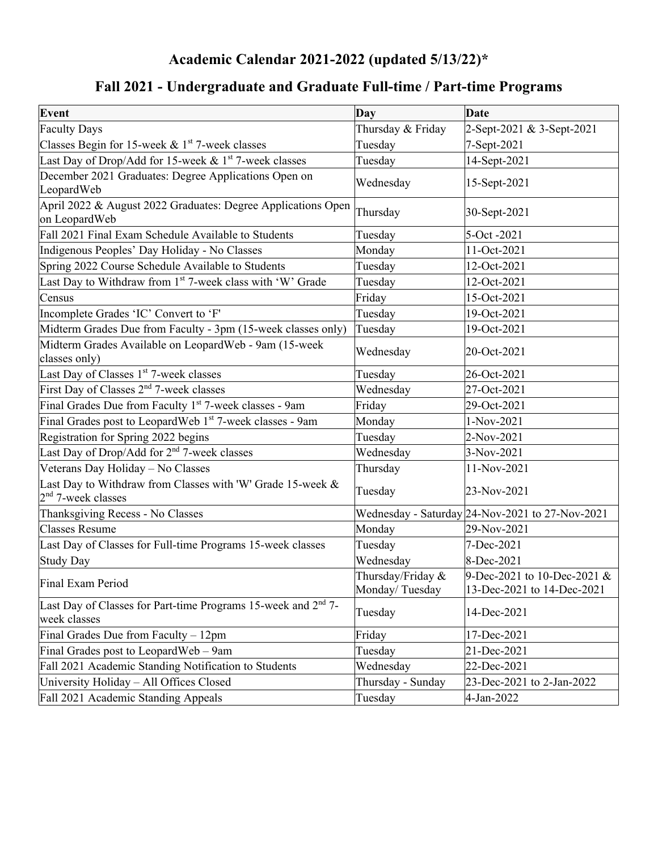# **Academic Calendar 2021-2022 (updated 5/13/22)\***

# **Fall 2021 - Undergraduate and Graduate Full-time / Part-time Programs**

| <b>Event</b>                                                                       | Day                                 | <b>Date</b>                                               |
|------------------------------------------------------------------------------------|-------------------------------------|-----------------------------------------------------------|
| <b>Faculty Days</b>                                                                | Thursday & Friday                   | 2-Sept-2021 & 3-Sept-2021                                 |
| Classes Begin for 15-week $&$ 1st 7-week classes                                   | Tuesday                             | 7-Sept-2021                                               |
| Last Day of Drop/Add for 15-week & $1st$ 7-week classes                            | Tuesday                             | 14-Sept-2021                                              |
| December 2021 Graduates: Degree Applications Open on<br>LeopardWeb                 | Wednesday                           | 15-Sept-2021                                              |
| April 2022 & August 2022 Graduates: Degree Applications Open<br>on LeopardWeb      | Thursday                            | 30-Sept-2021                                              |
| Fall 2021 Final Exam Schedule Available to Students                                | Tuesday                             | 5-Oct -2021                                               |
| Indigenous Peoples' Day Holiday - No Classes                                       | Monday                              | 11-Oct-2021                                               |
| Spring 2022 Course Schedule Available to Students                                  | Tuesday                             | 12-Oct-2021                                               |
| Last Day to Withdraw from 1st 7-week class with 'W' Grade                          | Tuesday                             | 12-Oct-2021                                               |
| Census                                                                             | Friday                              | 15-Oct-2021                                               |
| Incomplete Grades 'IC' Convert to 'F'                                              | Tuesday                             | 19-Oct-2021                                               |
| Midterm Grades Due from Faculty - 3pm (15-week classes only)                       | Tuesday                             | 19-Oct-2021                                               |
| Midterm Grades Available on LeopardWeb - 9am (15-week<br>classes only)             | Wednesday                           | 20-Oct-2021                                               |
| Last Day of Classes 1 <sup>st</sup> 7-week classes                                 | Tuesday                             | 26-Oct-2021                                               |
| First Day of Classes 2 <sup>nd</sup> 7-week classes                                | Wednesday                           | 27-Oct-2021                                               |
| Final Grades Due from Faculty 1 <sup>st</sup> 7-week classes - 9am                 | Friday                              | 29-Oct-2021                                               |
| Final Grades post to LeopardWeb 1st 7-week classes - 9am                           | Monday                              | 1-Nov-2021                                                |
| Registration for Spring 2022 begins                                                | Tuesday                             | 2-Nov-2021                                                |
| Last Day of Drop/Add for 2 <sup>nd</sup> 7-week classes                            | Wednesday                           | 3-Nov-2021                                                |
| Veterans Day Holiday - No Classes                                                  | Thursday                            | 11-Nov-2021                                               |
| Last Day to Withdraw from Classes with 'W' Grade 15-week &<br>$2nd$ 7-week classes | Tuesday                             | 23-Nov-2021                                               |
| Thanksgiving Recess - No Classes                                                   |                                     | Wednesday - Saturday 24-Nov-2021 to 27-Nov-2021           |
| <b>Classes Resume</b>                                                              | Monday                              | 29-Nov-2021                                               |
| Last Day of Classes for Full-time Programs 15-week classes                         | Tuesday                             | 7-Dec-2021                                                |
| <b>Study Day</b>                                                                   | Wednesday                           | 8-Dec-2021                                                |
| Final Exam Period                                                                  | Thursday/Friday &<br>Monday/Tuesday | 9-Dec-2021 to 10-Dec-2021 &<br>13-Dec-2021 to 14-Dec-2021 |
| Last Day of Classes for Part-time Programs 15-week and $2nd$ 7-<br>week classes    | Tuesday                             | 14-Dec-2021                                               |
| Final Grades Due from Faculty - 12pm                                               | Friday                              | 17-Dec-2021                                               |
| Final Grades post to LeopardWeb – 9am                                              | Tuesday                             | 21-Dec-2021                                               |
| Fall 2021 Academic Standing Notification to Students                               | Wednesday                           | 22-Dec-2021                                               |
| University Holiday - All Offices Closed                                            | Thursday - Sunday                   | 23-Dec-2021 to 2-Jan-2022                                 |
| Fall 2021 Academic Standing Appeals                                                | Tuesday                             | 4-Jan-2022                                                |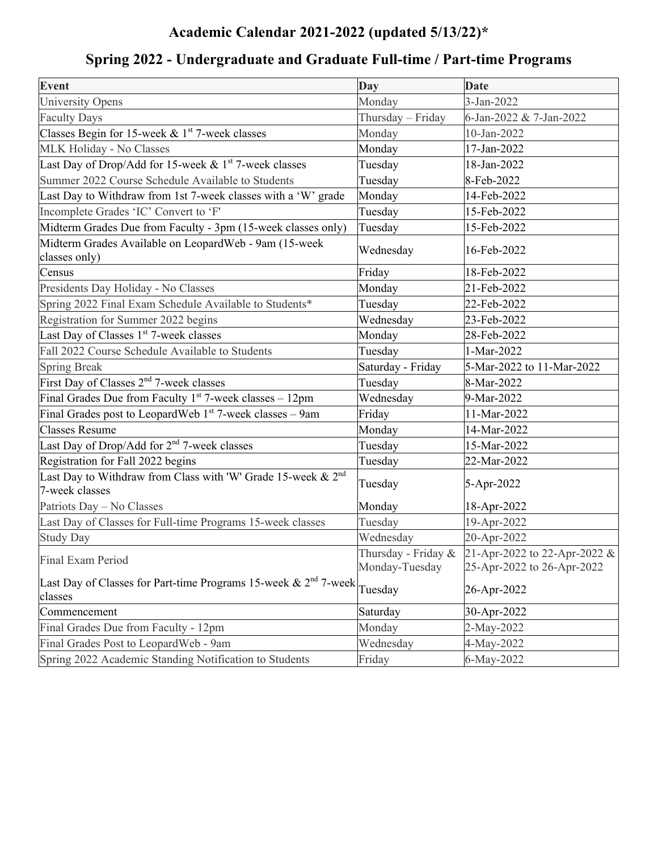# **Academic Calendar 2021-2022 (updated 5/13/22)\***

| <b>Event</b>                                                                               | Day               | <b>Date</b>                                                                    |
|--------------------------------------------------------------------------------------------|-------------------|--------------------------------------------------------------------------------|
| University Opens                                                                           | Monday            | 3-Jan-2022                                                                     |
| <b>Faculty Days</b>                                                                        | Thursday - Friday | 6-Jan-2022 & 7-Jan-2022                                                        |
| Classes Begin for 15-week & $1st$ 7-week classes                                           | Monday            | 10-Jan-2022                                                                    |
| MLK Holiday - No Classes                                                                   | Monday            | 17-Jan-2022                                                                    |
| Last Day of Drop/Add for 15-week & 1st 7-week classes                                      | Tuesday           | 18-Jan-2022                                                                    |
| Summer 2022 Course Schedule Available to Students                                          | Tuesday           | 8-Feb-2022                                                                     |
| Last Day to Withdraw from 1st 7-week classes with a 'W' grade                              | Monday            | 14-Feb-2022                                                                    |
| Incomplete Grades 'IC' Convert to 'F'                                                      | Tuesday           | 15-Feb-2022                                                                    |
| Midterm Grades Due from Faculty - 3pm (15-week classes only)                               | Tuesday           | 15-Feb-2022                                                                    |
| Midterm Grades Available on LeopardWeb - 9am (15-week<br>classes only)                     | Wednesday         | 16-Feb-2022                                                                    |
| Census                                                                                     | Friday            | 18-Feb-2022                                                                    |
| Presidents Day Holiday - No Classes                                                        | Monday            | 21-Feb-2022                                                                    |
| Spring 2022 Final Exam Schedule Available to Students*                                     | Tuesday           | 22-Feb-2022                                                                    |
| Registration for Summer 2022 begins                                                        | Wednesday         | 23-Feb-2022                                                                    |
| Last Day of Classes 1 <sup>st</sup> 7-week classes                                         | Monday            | 28-Feb-2022                                                                    |
| Fall 2022 Course Schedule Available to Students                                            | Tuesday           | 1-Mar-2022                                                                     |
| <b>Spring Break</b>                                                                        | Saturday - Friday | 5-Mar-2022 to 11-Mar-2022                                                      |
| First Day of Classes 2 <sup>nd</sup> 7-week classes                                        | Tuesday           | 8-Mar-2022                                                                     |
| Final Grades Due from Faculty $1^{st}$ 7-week classes - 12pm                               | Wednesday         | 9-Mar-2022                                                                     |
| Final Grades post to LeopardWeb $1st$ 7-week classes – 9am                                 | Friday            | 11-Mar-2022                                                                    |
| <b>Classes Resume</b>                                                                      | Monday            | 14-Mar-2022                                                                    |
| Last Day of Drop/Add for 2 <sup>nd</sup> 7-week classes                                    | Tuesday           | 15-Mar-2022                                                                    |
| Registration for Fall 2022 begins                                                          | Tuesday           | 22-Mar-2022                                                                    |
| Last Day to Withdraw from Class with 'W' Grade 15-week & 2 <sup>nd</sup><br>7-week classes | Tuesday           | 5-Apr-2022                                                                     |
| Patriots Day - No Classes                                                                  | Monday            | 18-Apr-2022                                                                    |
| Last Day of Classes for Full-time Programs 15-week classes                                 | Tuesday           | 19-Apr-2022                                                                    |
| <b>Study Day</b>                                                                           | Wednesday         | 20-Apr-2022                                                                    |
| Final Exam Period                                                                          | Monday-Tuesday    | Thursday - Friday & 21-Apr-2022 to 22-Apr-2022 &<br>25-Apr-2022 to 26-Apr-2022 |
| Last Day of Classes for Part-time Programs 15-week & $2nd$ 7-week<br>classes               | Tuesday           | 26-Apr-2022                                                                    |
| Commencement                                                                               | Saturday          | 30-Apr-2022                                                                    |
| Final Grades Due from Faculty - 12pm                                                       | Monday            | 2-May-2022                                                                     |
| Final Grades Post to LeopardWeb - 9am                                                      | Wednesday         | 4-May-2022                                                                     |
| Spring 2022 Academic Standing Notification to Students                                     | Friday            | 6-May-2022                                                                     |

# **Spring 2022 - Undergraduate and Graduate Full-time / Part-time Programs**